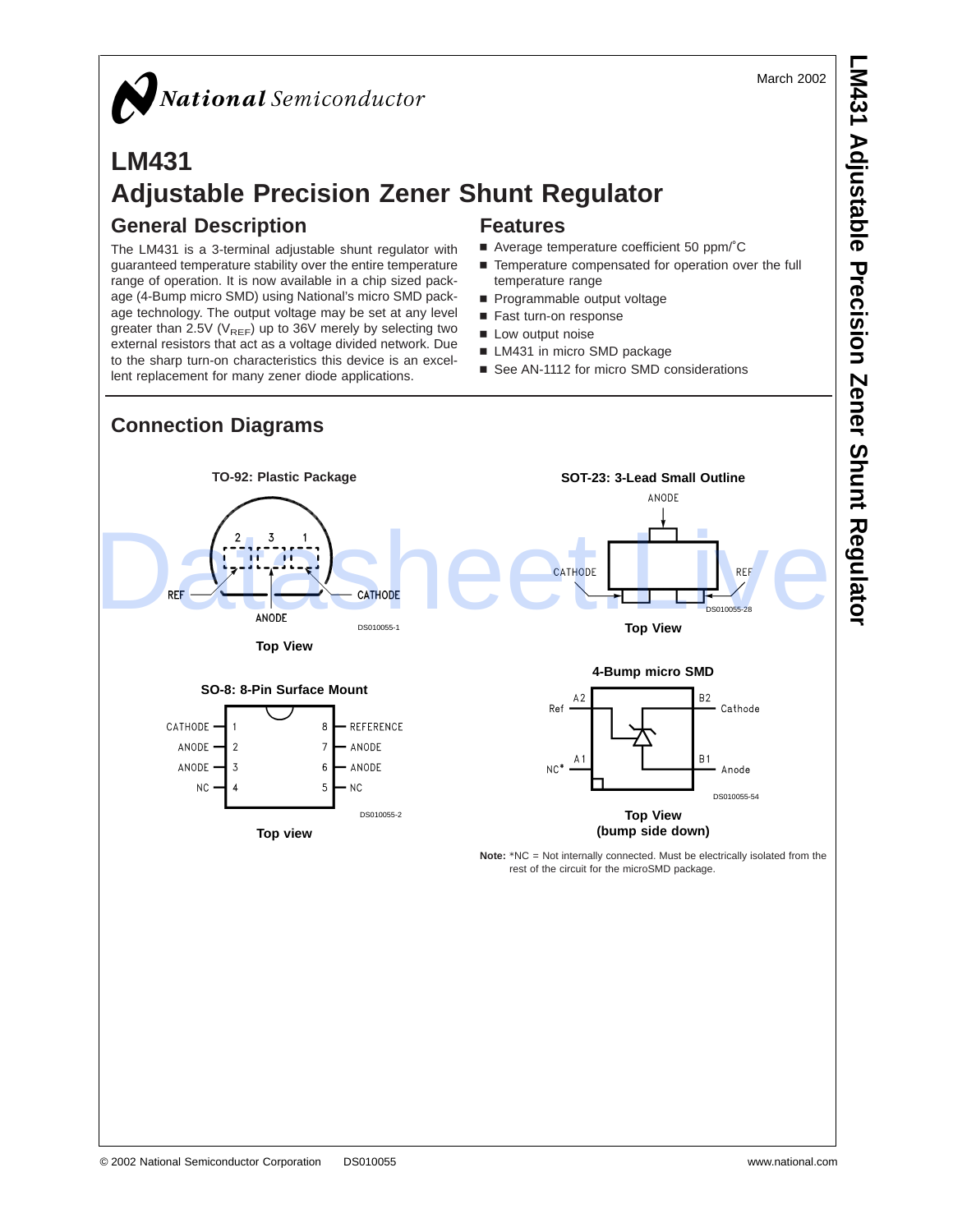March 2002

# National Semiconductor

# **LM431 Adjustable Precision Zener Shunt Regulator General Description Features**

The LM431 is a 3-terminal adjustable shunt regulator with guaranteed temperature stability over the entire temperature range of operation. It is now available in a chip sized package (4-Bump micro SMD) using National's micro SMD package technology. The output voltage may be set at any level greater than 2.5V ( $V_{REF}$ ) up to 36V merely by selecting two external resistors that act as a voltage divided network. Due to the sharp turn-on characteristics this device is an excellent replacement for many zener diode applications.

- Average temperature coefficient 50 ppm/°C
- Temperature compensated for operation over the full temperature range
- Programmable output voltage
- Fast turn-on response
- Low output noise
- **LM431** in micro SMD package
- See AN-1112 for micro SMD considerations

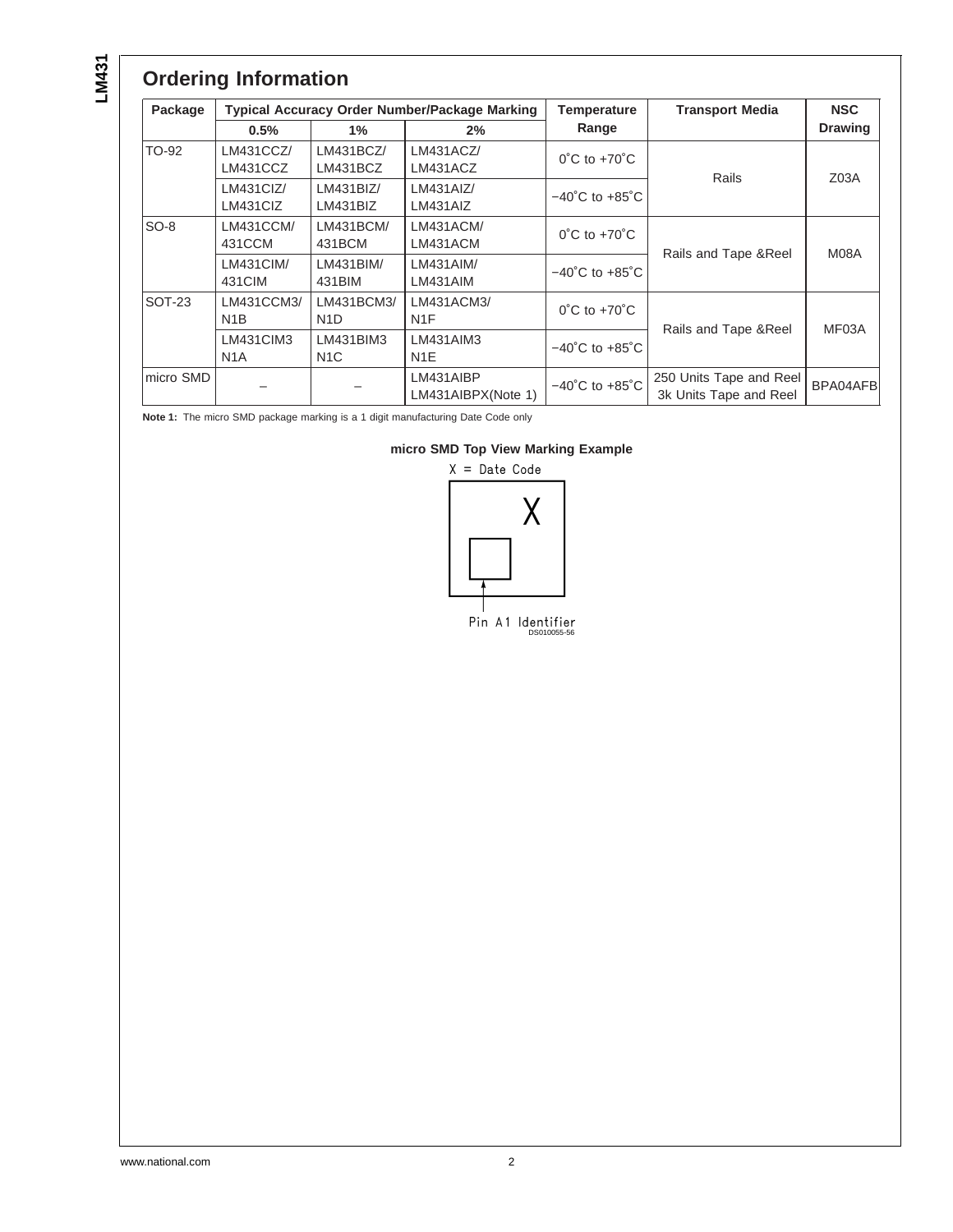# **Ordering Information**

| Package       | <b>Typical Accuracy Order Number/Package Marking</b> |                                |                                 | Temperature                        | <b>Transport Media</b>                            | <b>NSC</b>       |  |
|---------------|------------------------------------------------------|--------------------------------|---------------------------------|------------------------------------|---------------------------------------------------|------------------|--|
|               | 0.5%                                                 | $1\%$                          | 2%                              | Range                              |                                                   | <b>Drawing</b>   |  |
| TO-92         | LM431CCZ/<br>LM431CCZ                                | LM431BCZ/<br>LM431BCZ          | LM431ACZ/<br>LM431ACZ           | $0^{\circ}$ C to +70 $^{\circ}$ C  |                                                   | Z <sub>03A</sub> |  |
|               | LM431CIZ/<br>LM431CIZ                                | LM431BIZ/<br>LM431BIZ          | LM431AlZ/<br>LM431AIZ           | $-40^{\circ}$ C to $+85^{\circ}$ C | Rails                                             |                  |  |
| $SO-8$        | LM431CCM/<br>431CCM                                  | LM431BCM/<br>431BCM            | LM431ACM/<br>LM431ACM           | $0^{\circ}$ C to +70 $^{\circ}$ C  |                                                   | M08A             |  |
|               | LM431CIM/<br>431CIM                                  | LM431BIM/<br>431BIM            | LM431AIM/<br>LM431AIM           | $-40^{\circ}$ C to $+85^{\circ}$ C | Rails and Tape & Reel                             |                  |  |
| <b>SOT-23</b> | LM431CCM3/<br>N <sub>1</sub> B                       | LM431BCM3/<br>N <sub>1</sub> D | LM431ACM3/<br>N <sub>1</sub> F  | $0^{\circ}$ C to +70 $^{\circ}$ C  |                                                   |                  |  |
|               | LM431CIM3<br>N <sub>1</sub> A                        | LM431BIM3<br>N <sub>1</sub> C  | LM431AIM3<br>N <sub>1</sub> E   | $-40^{\circ}$ C to $+85^{\circ}$ C | Rails and Tape & Reel                             | MF03A            |  |
| micro SMD     |                                                      |                                | LM431AIBP<br>LM431AIBPX(Note 1) | $-40^{\circ}$ C to $+85^{\circ}$ C | 250 Units Tape and Reel<br>3k Units Tape and Reel | BPA04AFB         |  |

**Note 1:** The micro SMD package marking is a 1 digit manufacturing Date Code only



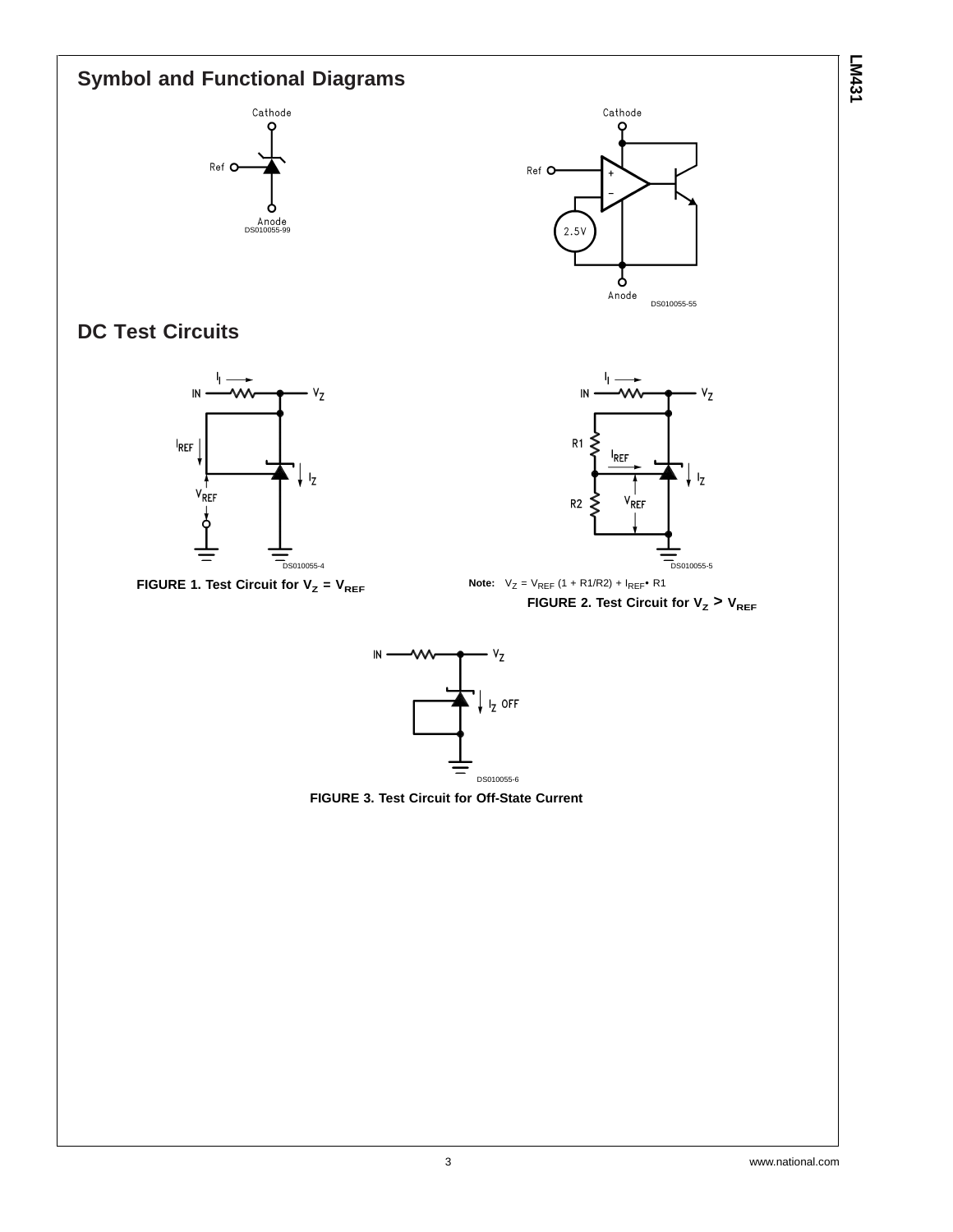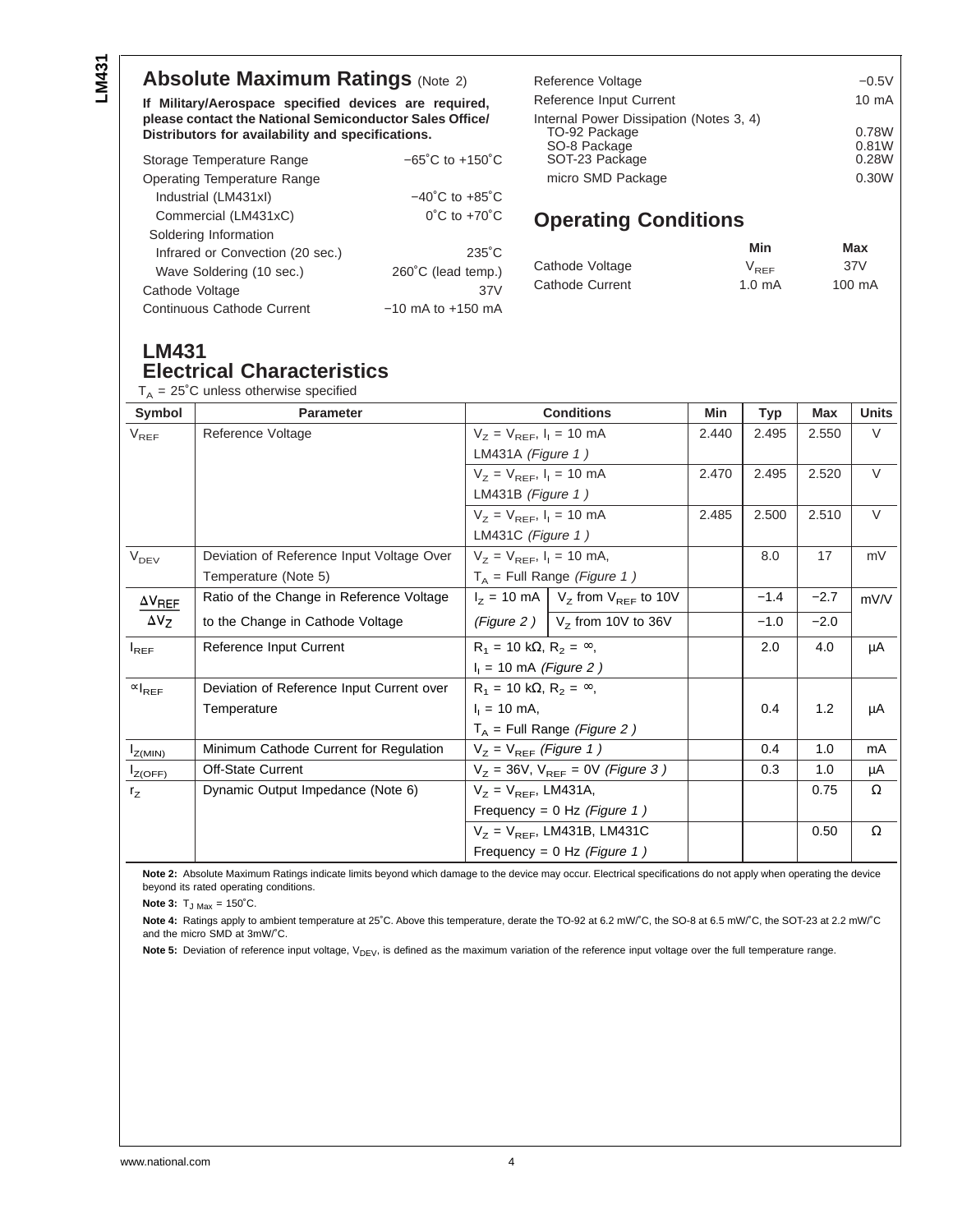#### **Absolute Maximum Ratings (Note 2)**

**If Military/Aerospace specified devices are required, please contact the National Semiconductor Sales Office/ Distributors for availability and specifications.**

| Storage Temperature Range          | $-65^{\circ}$ C to $+150^{\circ}$ C |  |  |  |
|------------------------------------|-------------------------------------|--|--|--|
| <b>Operating Temperature Range</b> |                                     |  |  |  |
| Industrial (LM431xI)               | $-40^{\circ}$ C to $+85^{\circ}$ C  |  |  |  |
| Commercial (LM431xC)               | $0^{\circ}$ C to $+70^{\circ}$ C    |  |  |  |
| Soldering Information              |                                     |  |  |  |
| Infrared or Convection (20 sec.)   | $235^{\circ}$ C                     |  |  |  |
| Wave Soldering (10 sec.)           | 260°C (lead temp.)                  |  |  |  |
| Cathode Voltage                    | 37V                                 |  |  |  |
| <b>Continuous Cathode Current</b>  | $-10$ mA to $+150$ mA               |  |  |  |

| Reference Voltage                                                                          | $-0.5V$                 |
|--------------------------------------------------------------------------------------------|-------------------------|
| Reference Input Current                                                                    | $10 \text{ mA}$         |
| Internal Power Dissipation (Notes 3, 4)<br>TO-92 Package<br>SO-8 Package<br>SOT-23 Package | 0.78W<br>0.81W<br>0.28W |
| micro SMD Package                                                                          | 0.30W                   |

#### **Operating Conditions**

|                 | Min              | Max    |
|-----------------|------------------|--------|
| Cathode Voltage | $V_{BEF}$        | 37V    |
| Cathode Current | $1.0 \text{ mA}$ | 100 mA |

## **LM431 Electrical Characteristics**

 $-25^\circ$ C unless otherwise specified

| Symbol                              | <b>Parameter</b>                          | <b>Conditions</b>                      |                                                                   | Min   | Typ    | <b>Max</b> | <b>Units</b> |
|-------------------------------------|-------------------------------------------|----------------------------------------|-------------------------------------------------------------------|-------|--------|------------|--------------|
| $V_{REF}$                           | Reference Voltage                         | $V_Z = V_{REF}$ , $I_1 = 10$ mA        |                                                                   | 2.440 | 2.495  | 2.550      | $\vee$       |
|                                     |                                           | LM431A (Figure $1)$                    |                                                                   |       |        |            |              |
|                                     |                                           | $V_z = V_{REF}$ , $I_1 = 10$ mA        |                                                                   | 2.470 | 2.495  | 2.520      | $\vee$       |
|                                     |                                           | LM431B (Figure 1)                      |                                                                   |       |        |            |              |
|                                     |                                           | $V_z = V_{REF}$ , $I_1 = 10$ mA        |                                                                   | 2.485 | 2.500  | 2.510      | V            |
|                                     |                                           | LM431C (Figure $1)$                    |                                                                   |       |        |            |              |
| V <sub>DEV</sub>                    | Deviation of Reference Input Voltage Over | $V_Z = V_{REF}$ , $I_1 = 10$ mA,       |                                                                   |       | 8.0    | 17         | mV           |
|                                     | Temperature (Note 5)                      | $T_A$ = Full Range (Figure 1)          |                                                                   |       |        |            |              |
| $\Delta V_{REF}$                    | Ratio of the Change in Reference Voltage  |                                        | $I_z$ = 10 mA $\vert$ V <sub>z</sub> from V <sub>REF</sub> to 10V |       | $-1.4$ | $-2.7$     | mV/V         |
| $\Delta V_Z$                        | to the Change in Cathode Voltage          |                                        | (Figure 2) $\vert$ V <sub>z</sub> from 10V to 36V                 |       | $-1.0$ | $-2.0$     |              |
| $I_{REF}$                           | Reference Input Current                   | $R_1 = 10 k\Omega, R_2 = \infty$ ,     |                                                                   |       | 2.0    | 4.0        | μA           |
|                                     |                                           | $I_1 = 10$ mA (Figure 2)               |                                                                   |       |        |            |              |
| $\left.\propto\right _\mathsf{REF}$ | Deviation of Reference Input Current over | $R_1 = 10 k\Omega$ , $R_2 = \infty$ ,  |                                                                   |       |        |            |              |
|                                     | Temperature                               | $I_1 = 10$ mA,                         |                                                                   |       | 0.4    | 1.2        | μA           |
|                                     |                                           | $T_A$ = Full Range (Figure 2)          |                                                                   |       |        |            |              |
| $I_{Z(\underline{MIN})}$            | Minimum Cathode Current for Regulation    | $V_Z = V_{REF}$ (Figure 1)             |                                                                   |       | 0.4    | 1.0        | mA           |
| $I_{Z(OFF)}$                        | Off-State Current                         | $V_Z$ = 36V, $V_{REF}$ = 0V (Figure 3) |                                                                   |       | 0.3    | 1.0        | μA           |
| $r_{Z}$                             | Dynamic Output Impedance (Note 6)         | $V_Z = V_{REF}$ , LM431A,              |                                                                   |       |        | 0.75       | $\Omega$     |
|                                     |                                           | Frequency = $0$ Hz (Figure 1)          |                                                                   |       |        |            |              |
|                                     |                                           | $V_Z$ = $V_{REF}$ , LM431B, LM431C     |                                                                   |       |        | 0.50       | $\Omega$     |
|                                     |                                           | Frequency = $0$ Hz (Figure 1)          |                                                                   |       |        |            |              |

**Note 2:** Absolute Maximum Ratings indicate limits beyond which damage to the device may occur. Electrical specifications do not apply when operating the device beyond its rated operating conditions.

**Note 3:**  $T_{J \text{ Max}} = 150^{\circ}C$ .

**Note 4:** Ratings apply to ambient temperature at 25˚C. Above this temperature, derate the TO-92 at 6.2 mW/˚C, the SO-8 at 6.5 mW/˚C, the SOT-23 at 2.2 mW/˚C and the micro SMD at 3mW/˚C.

Note 5: Deviation of reference input voltage, V<sub>DEV</sub>, is defined as the maximum variation of the reference input voltage over the full temperature range.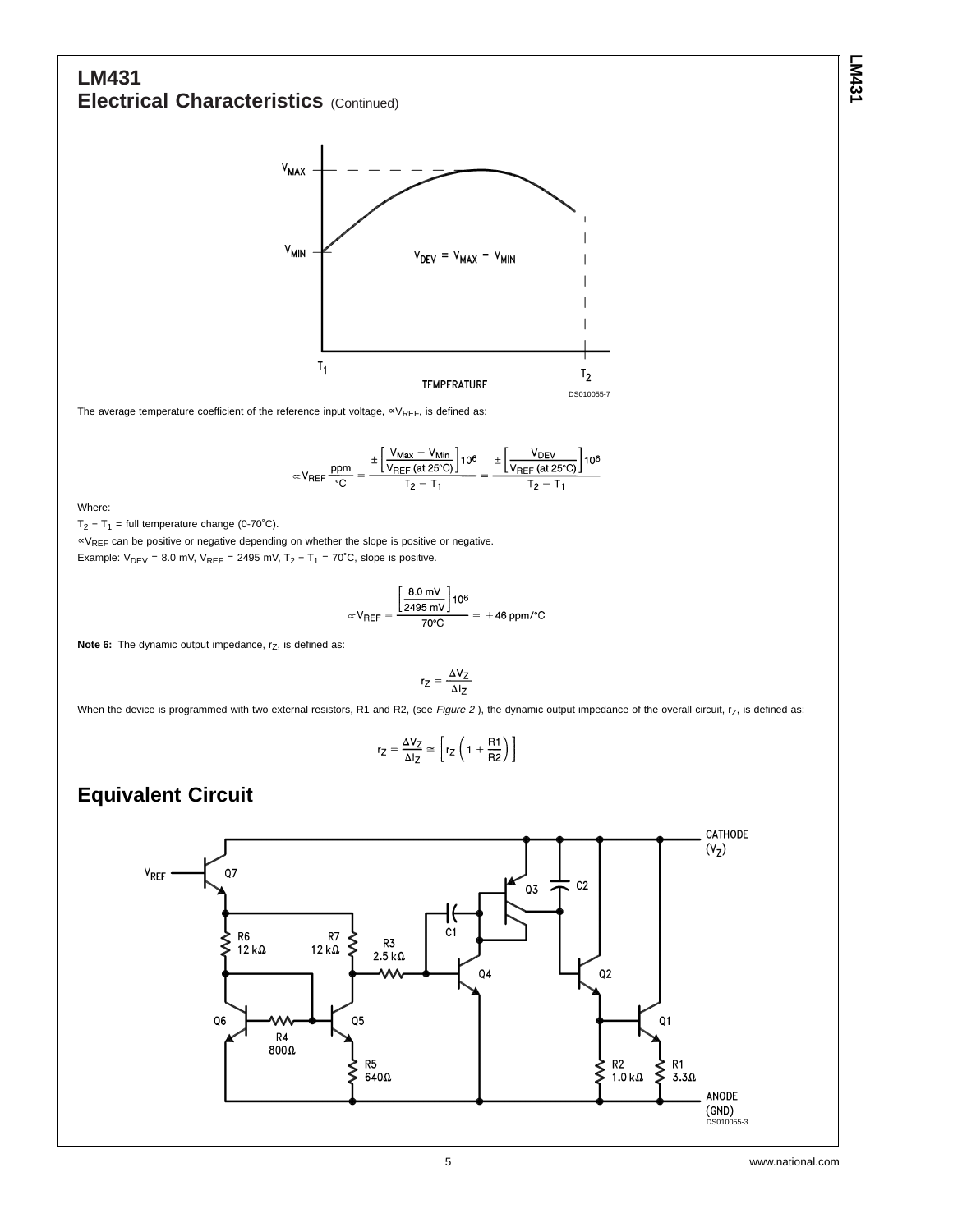### **LM431 Electrical Characteristics** (Continued)



The average temperature coefficient of the reference input voltage,  $\propto$ V<sub>REF</sub>, is defined as:

$$
\propto V_{REF} \frac{ppm}{^{\circ}C} = \frac{\pm \left[\frac{V_{Max}-V_{Min}}{V_{REF}\left(at\,25^{\circ}C\right)}\right]10^{6}}{T_{2}-T_{1}} = \frac{\pm \left[\frac{V_{DEF}}{V_{REF}\left(at\,25^{\circ}C\right)}\right]10^{6}}{T_{2}-T_{1}}
$$

Where:

 $T_2 - T_1$  = full temperature change (0-70°C).

∝VREF can be positive or negative depending on whether the slope is positive or negative. Example:  $V_{\text{DEV}} = 8.0$  mV,  $V_{\text{REF}} = 2495$  mV,  $T_2 - T_1 = 70^{\circ}$ C, slope is positive.

$$
\propto V_{REF} = \frac{\left[\frac{8.0 \text{ mV}}{2495 \text{ mV}}\right]10^6}{70^{\circ} \text{C}} = +46 \text{ ppm} / ^{\circ} \text{C}
$$

**Note 6:** The dynamic output impedance, r<sub>z</sub>, is defined as:

$$
r_Z = \frac{\Delta V_Z}{\Delta I_Z}
$$

When the device is programmed with two external resistors, R1 and R2, (see Figure 2), the dynamic output impedance of the overall circuit,  $r<sub>Z</sub>$ , is defined as:

$$
r_Z = \frac{\Delta V_Z}{\Delta I_Z} \simeq \left[ r_Z \left( 1 + \frac{R1}{R2} \right) \right]
$$

#### **Equivalent Circuit**

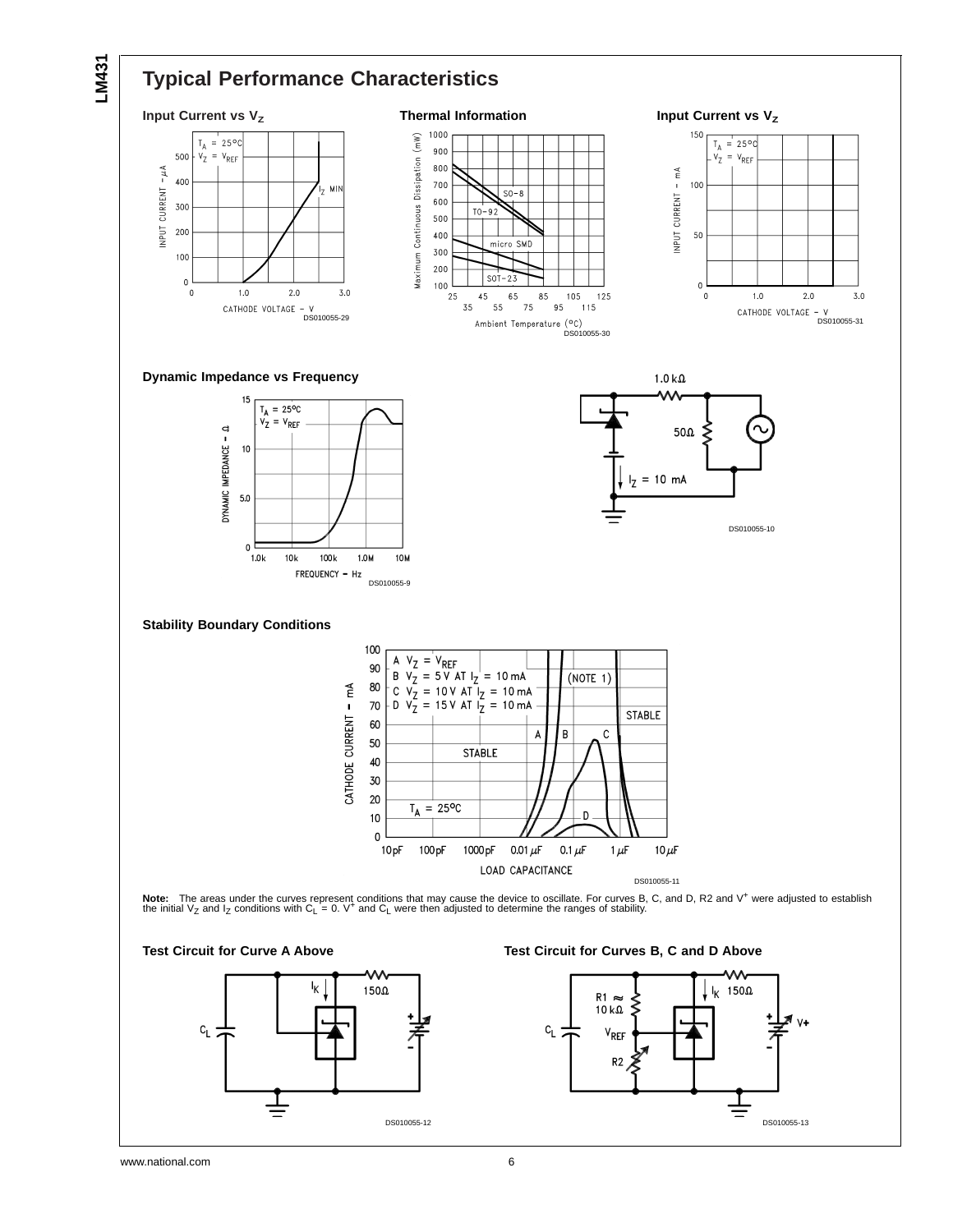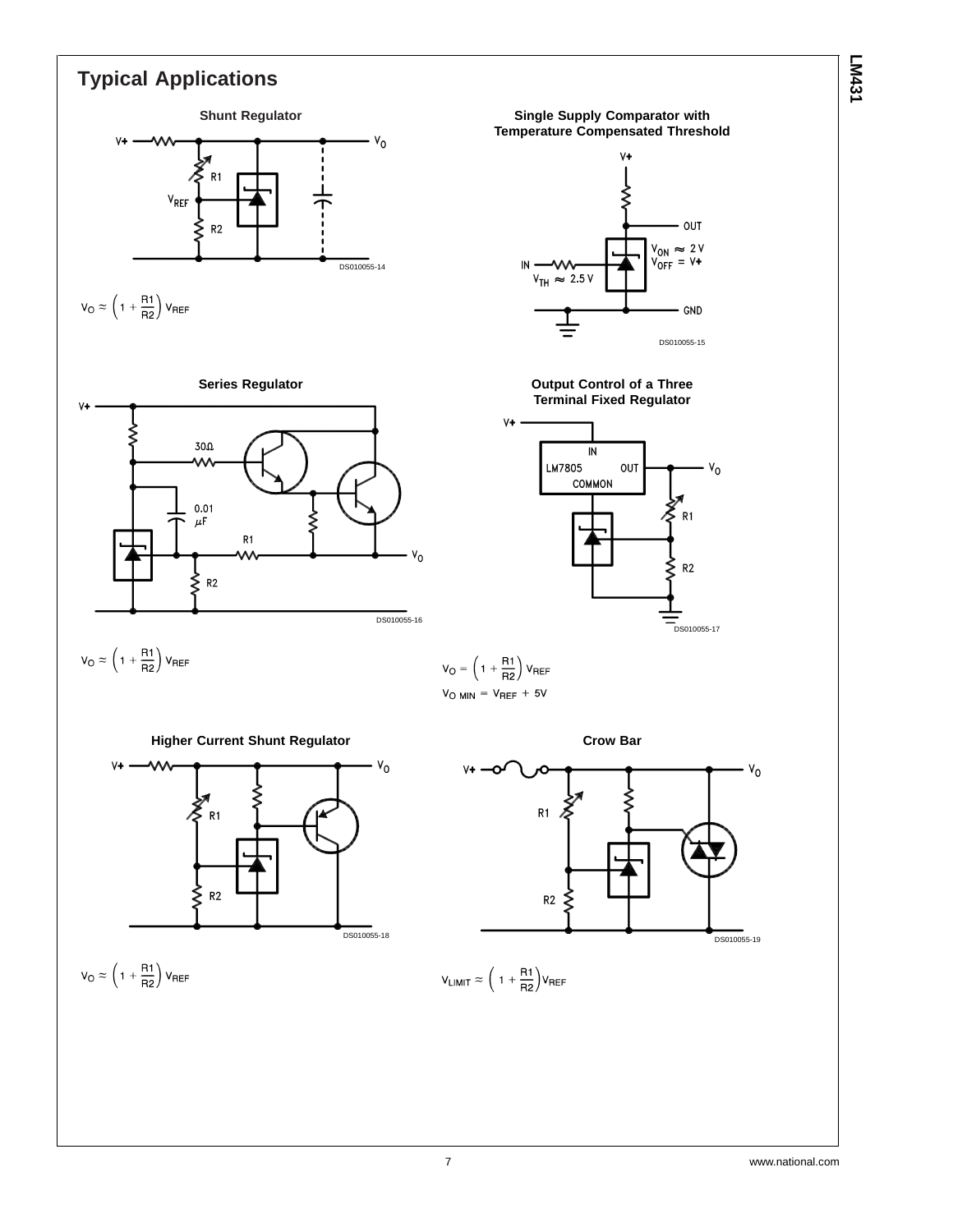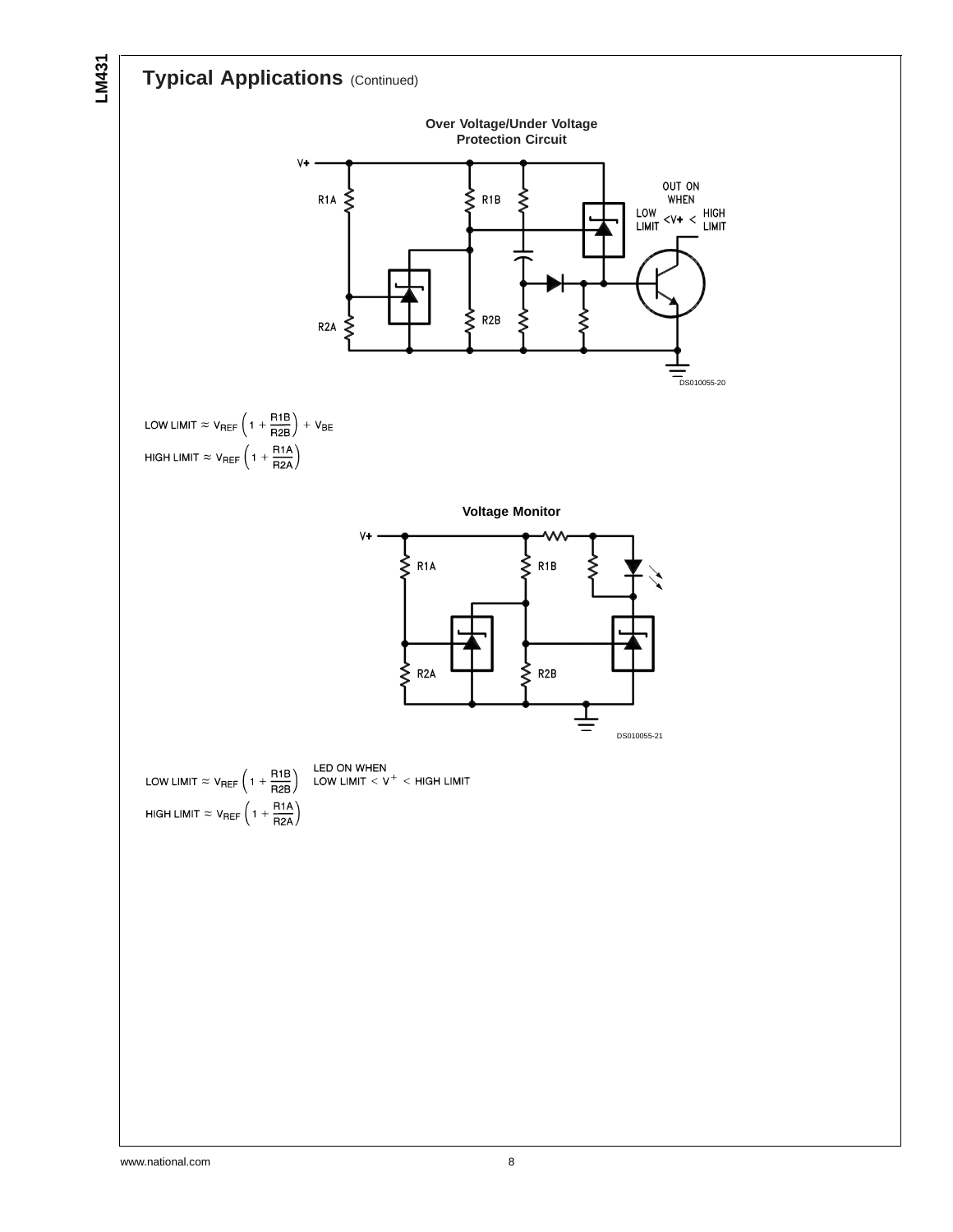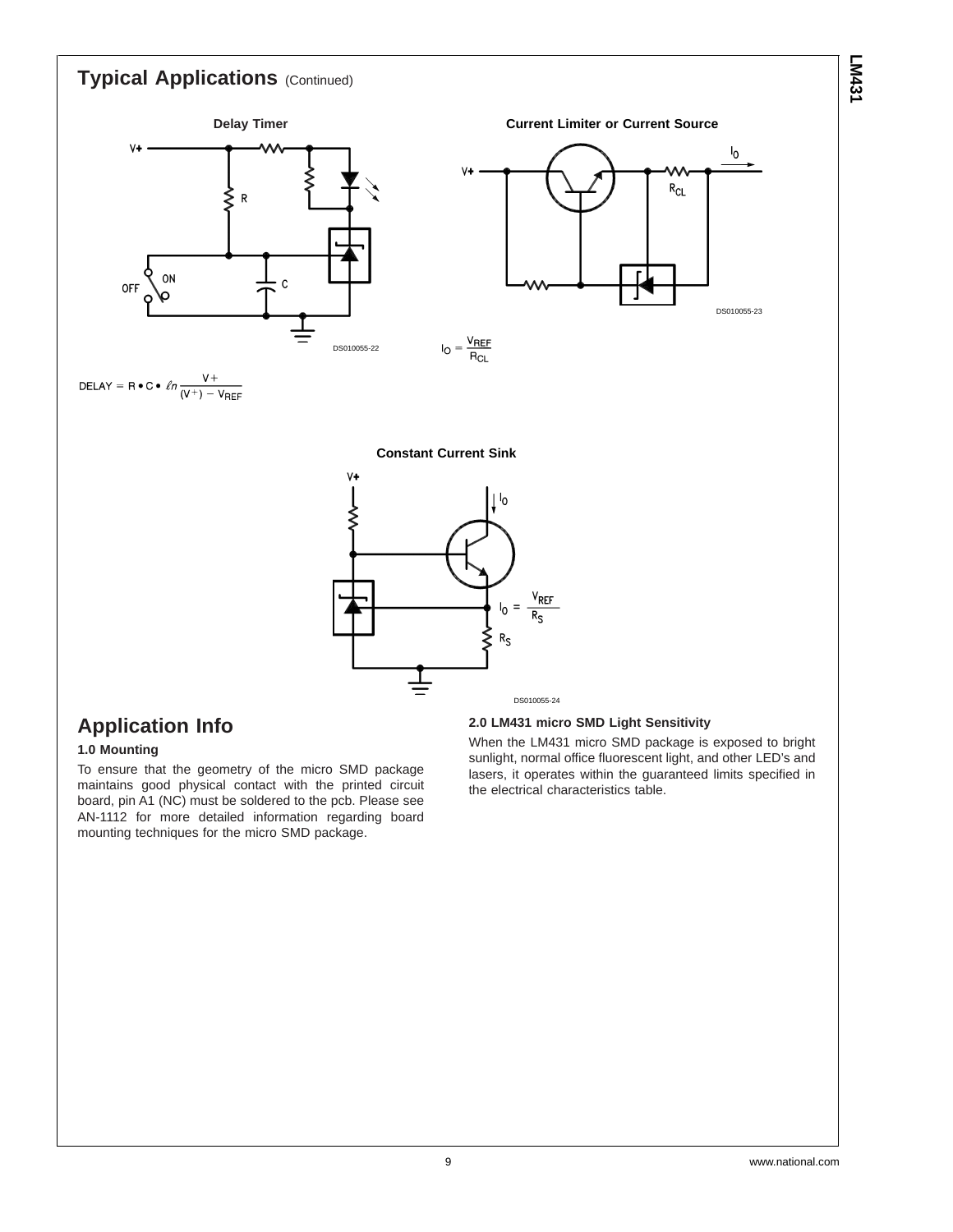

# **Application Info**

#### **1.0 Mounting**

To ensure that the geometry of the micro SMD package maintains good physical contact with the printed circuit board, pin A1 (NC) must be soldered to the pcb. Please see AN-1112 for more detailed information regarding board mounting techniques for the micro SMD package.

#### **2.0 LM431 micro SMD Light Sensitivity**

When the LM431 micro SMD package is exposed to bright sunlight, normal office fluorescent light, and other LED's and lasers, it operates within the guaranteed limits specified in the electrical characteristics table.

**LM431**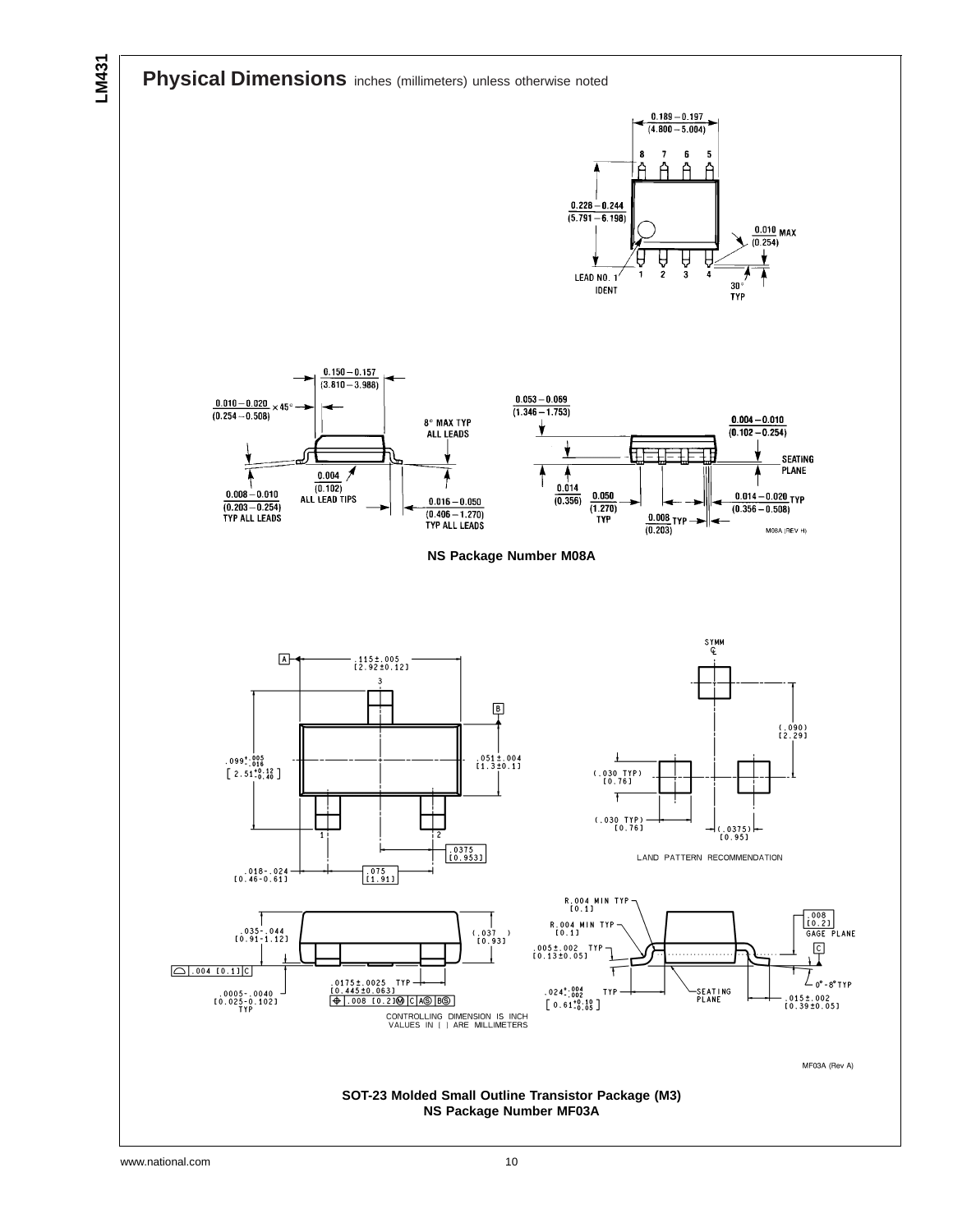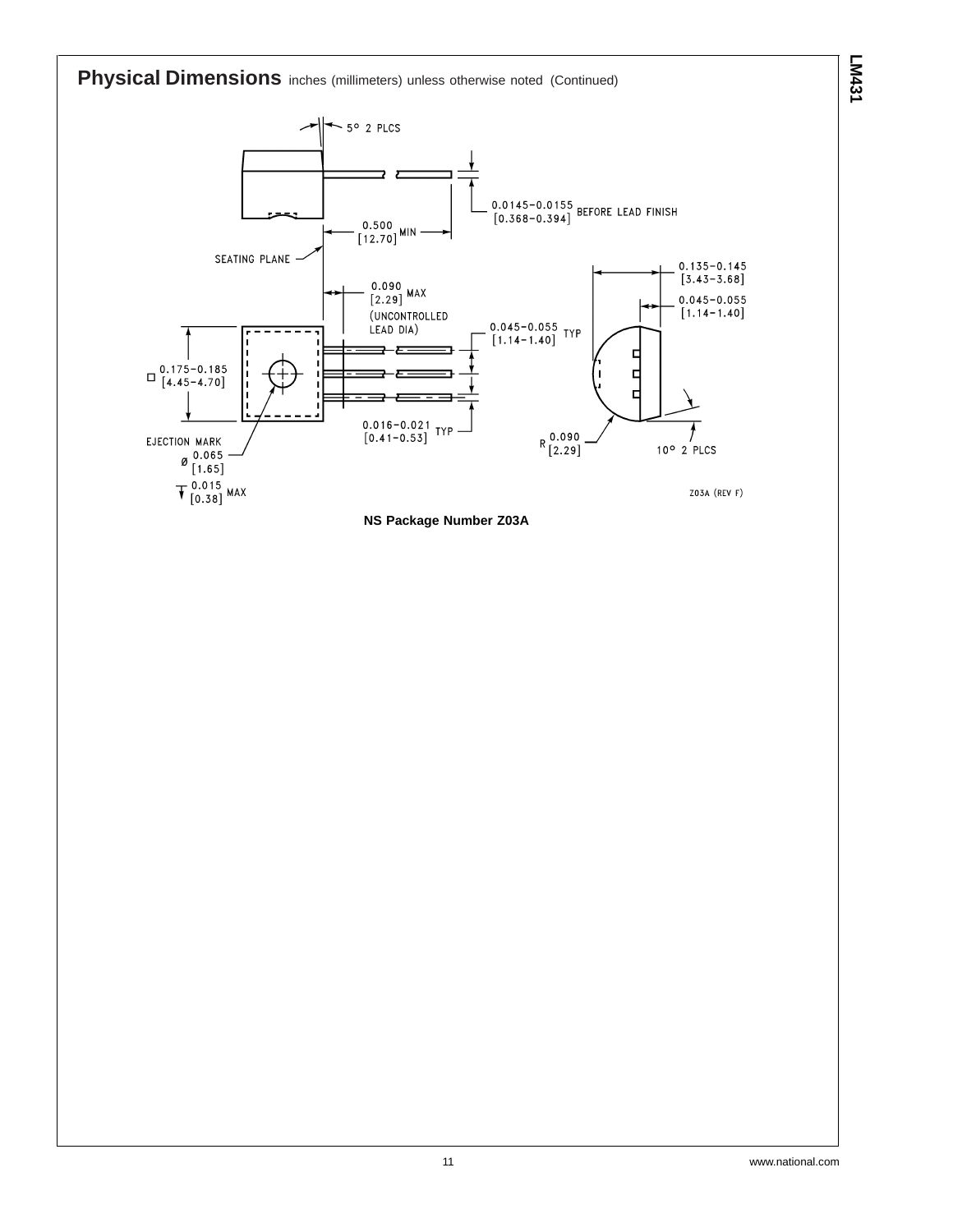**Physical Dimensions** inches (millimeters) unless otherwise noted (Continued)





**LM431**